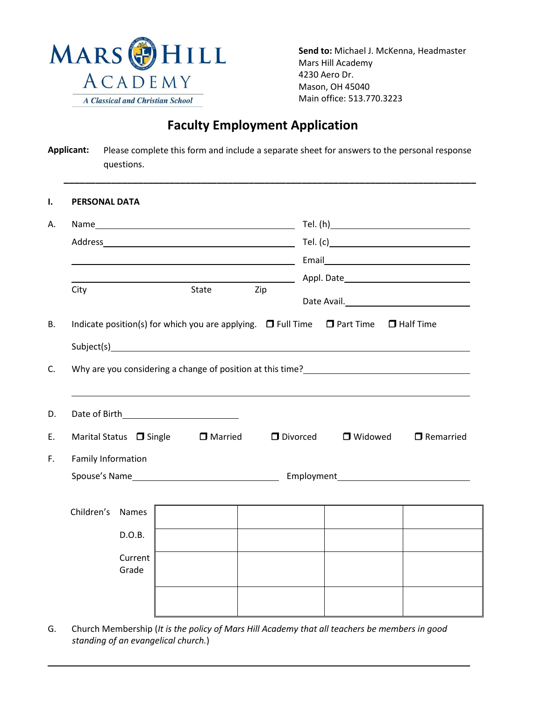

**Send to:** Michael J. McKenna, Headmaster Mars Hill Academy 4230 Aero Dr. Mason, OH 45040 Main office: 513.770.3223

# **Faculty Employment Application**

| <b>Applicant:</b> | Please complete this form and include a separate sheet for answers to the personal response |
|-------------------|---------------------------------------------------------------------------------------------|
|                   | questions.                                                                                  |

| City               |                              | State                                                                                                                                                                                                                                                                                                                                 | Zip        |  |           |                  |
|--------------------|------------------------------|---------------------------------------------------------------------------------------------------------------------------------------------------------------------------------------------------------------------------------------------------------------------------------------------------------------------------------------|------------|--|-----------|------------------|
|                    |                              | Indicate position(s) for which you are applying. $\Box$ Full Time $\Box$ Part Time $\Box$ Half Time<br>Subject(s) and the state of the state of the state of the state of the state of the state of the state of the state of the state of the state of the state of the state of the state of the state of the state of the state of |            |  |           |                  |
|                    |                              | Why are you considering a change of position at this time?                                                                                                                                                                                                                                                                            |            |  |           |                  |
|                    |                              |                                                                                                                                                                                                                                                                                                                                       |            |  |           |                  |
|                    | Marital Status $\Box$ Single | □ Married                                                                                                                                                                                                                                                                                                                             | D Divorced |  | □ Widowed | $\Box$ Remarried |
|                    |                              |                                                                                                                                                                                                                                                                                                                                       |            |  |           |                  |
| Family Information |                              |                                                                                                                                                                                                                                                                                                                                       |            |  |           |                  |
|                    |                              |                                                                                                                                                                                                                                                                                                                                       |            |  |           |                  |
|                    | Names                        |                                                                                                                                                                                                                                                                                                                                       |            |  |           |                  |
| Children's         | D.O.B.                       |                                                                                                                                                                                                                                                                                                                                       |            |  |           |                  |

G. Church Membership (*It is the policy of Mars Hill Academy that all teachers be members in good standing of an evangelical church.*)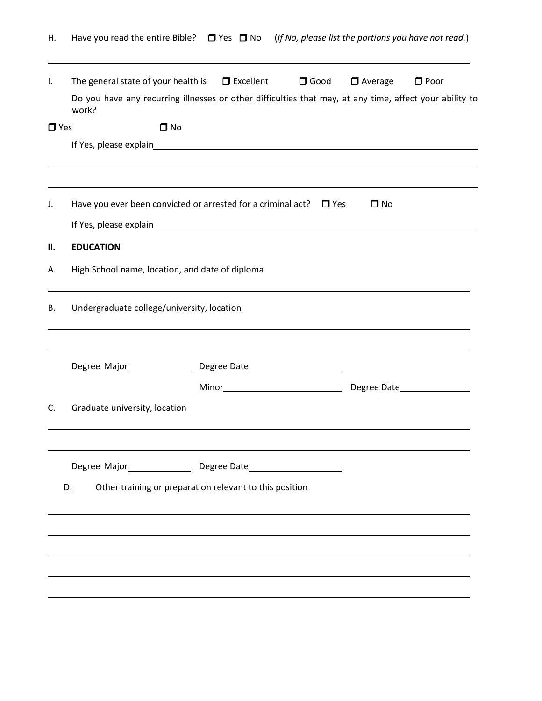| Η.         | Have you read the entire Bible? $\Box$ Yes $\Box$ No (If No, please list the portions you have not read.)                                      |                  |             |                |             |
|------------|------------------------------------------------------------------------------------------------------------------------------------------------|------------------|-------------|----------------|-------------|
| I.         | The general state of your health is<br>Do you have any recurring illnesses or other difficulties that may, at any time, affect your ability to | $\Box$ Excellent | $\Box$ Good | $\Box$ Average | $\Box$ Poor |
| $\Box$ Yes | work?<br>$\Box$ No                                                                                                                             |                  |             |                |             |
|            |                                                                                                                                                |                  |             |                |             |
| J.         | Have you ever been convicted or arrested for a criminal act? $\Box$ Yes                                                                        |                  |             | $\square$ No   |             |
| II.        | <b>EDUCATION</b>                                                                                                                               |                  |             |                |             |
| А.         | High School name, location, and date of diploma                                                                                                |                  |             |                |             |
| В.         | Undergraduate college/university, location                                                                                                     |                  |             |                |             |
|            |                                                                                                                                                |                  |             |                |             |
|            |                                                                                                                                                |                  |             |                |             |
| C.         | Graduate university, location                                                                                                                  |                  |             |                |             |
|            |                                                                                                                                                |                  |             |                |             |
|            | Other training or preparation relevant to this position<br>D.                                                                                  |                  |             |                |             |
|            |                                                                                                                                                |                  |             |                |             |
|            |                                                                                                                                                |                  |             |                |             |
|            |                                                                                                                                                |                  |             |                |             |
|            |                                                                                                                                                |                  |             |                |             |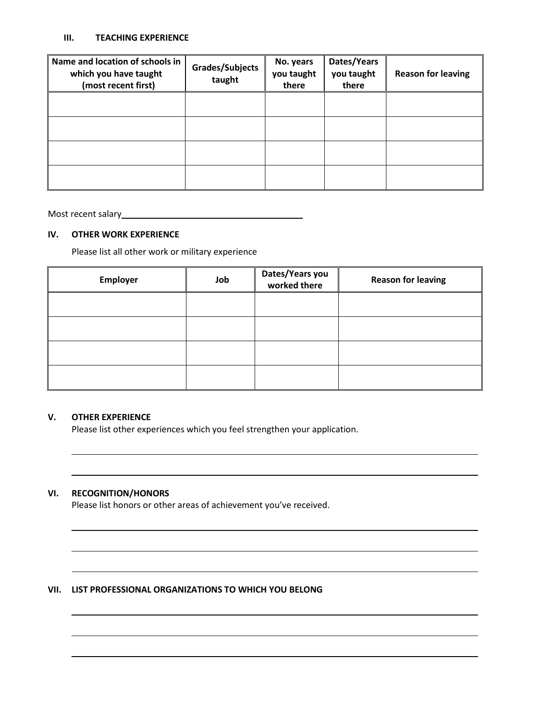#### **III. TEACHING EXPERIENCE**

| Name and location of schools in<br>which you have taught<br>(most recent first) | Grades/Subjects<br>taught | No. years<br>you taught<br>there | Dates/Years<br>you taught<br>there | <b>Reason for leaving</b> |
|---------------------------------------------------------------------------------|---------------------------|----------------------------------|------------------------------------|---------------------------|
|                                                                                 |                           |                                  |                                    |                           |
|                                                                                 |                           |                                  |                                    |                           |
|                                                                                 |                           |                                  |                                    |                           |
|                                                                                 |                           |                                  |                                    |                           |

Most recent salary<br>
<u>Most recent salary</u>

# **IV. OTHER WORK EXPERIENCE**

Please list all other work or military experience

| Employer | Job | Dates/Years you<br>worked there | <b>Reason for leaving</b> |
|----------|-----|---------------------------------|---------------------------|
|          |     |                                 |                           |
|          |     |                                 |                           |
|          |     |                                 |                           |
|          |     |                                 |                           |

## **V. OTHER EXPERIENCE**

Please list other experiences which you feel strengthen your application.

# **VI. RECOGNITION/HONORS**

Please list honors or other areas of achievement you've received.

# **VII. LIST PROFESSIONAL ORGANIZATIONS TO WHICH YOU BELONG**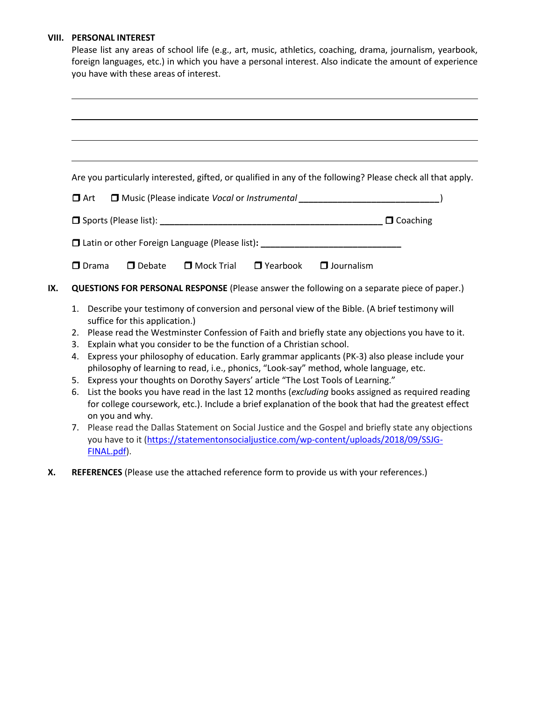### **VIII. PERSONAL INTEREST**

|                                                                                                      |                                                                                                                                                                                                         |            |                 | Please list any areas of school life (e.g., art, music, athletics, coaching, drama, journalism, yearbook,<br>foreign languages, etc.) in which you have a personal interest. Also indicate the amount of experience |  |
|------------------------------------------------------------------------------------------------------|---------------------------------------------------------------------------------------------------------------------------------------------------------------------------------------------------------|------------|-----------------|---------------------------------------------------------------------------------------------------------------------------------------------------------------------------------------------------------------------|--|
|                                                                                                      | you have with these areas of interest.                                                                                                                                                                  |            |                 |                                                                                                                                                                                                                     |  |
|                                                                                                      |                                                                                                                                                                                                         |            |                 |                                                                                                                                                                                                                     |  |
|                                                                                                      |                                                                                                                                                                                                         |            |                 |                                                                                                                                                                                                                     |  |
|                                                                                                      |                                                                                                                                                                                                         |            |                 |                                                                                                                                                                                                                     |  |
|                                                                                                      |                                                                                                                                                                                                         |            |                 |                                                                                                                                                                                                                     |  |
|                                                                                                      |                                                                                                                                                                                                         |            |                 | Are you particularly interested, gifted, or qualified in any of the following? Please check all that apply.                                                                                                         |  |
|                                                                                                      |                                                                                                                                                                                                         |            |                 |                                                                                                                                                                                                                     |  |
| $\Box$ Art                                                                                           |                                                                                                                                                                                                         |            |                 | □ Music (Please indicate Vocal or Instrumental _________________________________)                                                                                                                                   |  |
|                                                                                                      |                                                                                                                                                                                                         |            | $\Box$ Coaching |                                                                                                                                                                                                                     |  |
|                                                                                                      |                                                                                                                                                                                                         |            |                 | □ Latin or other Foreign Language (Please list): _______________________________                                                                                                                                    |  |
| $\Box$ Drama                                                                                         | $\Box$ Debate                                                                                                                                                                                           | Mock Trial | $\Box$ Yearbook | $\Box$ Journalism                                                                                                                                                                                                   |  |
|                                                                                                      |                                                                                                                                                                                                         |            |                 | QUESTIONS FOR PERSONAL RESPONSE (Please answer the following on a separate piece of paper.)                                                                                                                         |  |
| 1.                                                                                                   |                                                                                                                                                                                                         |            |                 | Describe your testimony of conversion and personal view of the Bible. (A brief testimony will                                                                                                                       |  |
|                                                                                                      | suffice for this application.)                                                                                                                                                                          |            |                 |                                                                                                                                                                                                                     |  |
| 2.                                                                                                   |                                                                                                                                                                                                         |            |                 | Please read the Westminster Confession of Faith and briefly state any objections you have to it.                                                                                                                    |  |
| 3.                                                                                                   | Explain what you consider to be the function of a Christian school.                                                                                                                                     |            |                 |                                                                                                                                                                                                                     |  |
| Express your philosophy of education. Early grammar applicants (PK-3) also please include your<br>4. |                                                                                                                                                                                                         |            |                 |                                                                                                                                                                                                                     |  |
|                                                                                                      |                                                                                                                                                                                                         |            |                 | philosophy of learning to read, i.e., phonics, "Look-say" method, whole language, etc.                                                                                                                              |  |
| 6.                                                                                                   | 5. Express your thoughts on Dorothy Sayers' article "The Lost Tools of Learning."                                                                                                                       |            |                 |                                                                                                                                                                                                                     |  |
|                                                                                                      | List the books you have read in the last 12 months (excluding books assigned as required reading<br>for college coursework, etc.). Include a brief explanation of the book that had the greatest effect |            |                 |                                                                                                                                                                                                                     |  |
|                                                                                                      | on you and why.                                                                                                                                                                                         |            |                 |                                                                                                                                                                                                                     |  |
|                                                                                                      |                                                                                                                                                                                                         |            |                 | 7. Please read the Dallas Statement on Social Justice and the Gospel and briefly state any objections                                                                                                               |  |

- 7. Please read the Dallas Statement on Social Justice and the Gospel and briefly state any objections you have to it [\(https://statementonsocialjustice.com/wp-content/uploads/2018/09/SSJG-](https://statementonsocialjustice.com/wp-content/uploads/2018/09/SSJG-FINAL.pdf)[FINAL.pdf\)](https://statementonsocialjustice.com/wp-content/uploads/2018/09/SSJG-FINAL.pdf).
- **X. REFERENCES** (Please use the attached reference form to provide us with your references.)